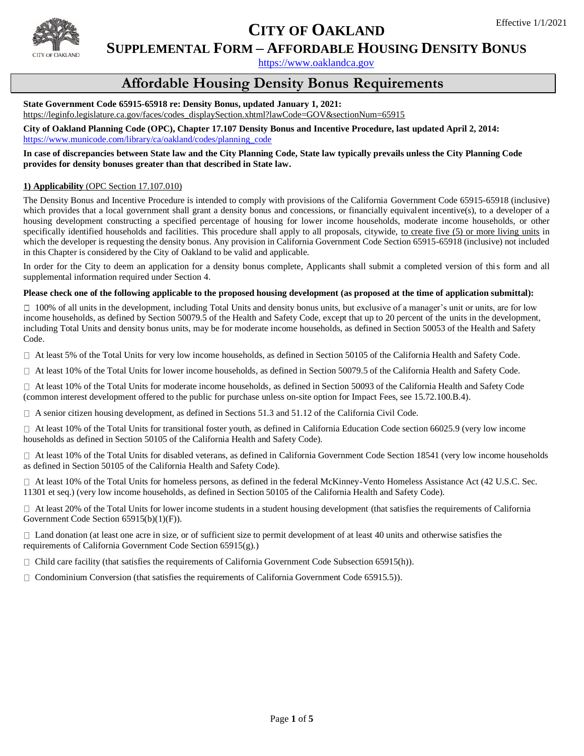

# **CITY OF OAKLAND**

### **SUPPLEMENTAL FORM – AFFORDABLE HOUSING DENSITY BONUS**

[https://www.oaklandca.gov](https://www.oaklandca.gov/)

## **Affordable Housing Density Bonus Requirements**

### **State Government Code 65915-65918 re: Density Bonus, updated January 1, 2021:**

[https://leginfo.legislature.ca.gov/faces/codes\\_displaySection.xhtml?lawCode=GOV&sectionNum=65915](https://leginfo.legislature.ca.gov/faces/codes_displaySection.xhtml?lawCode=GOV§ionNum=65915)

**City of Oakland Planning Code (OPC), Chapter 17.107 Density Bonus and Incentive Procedure, last updated April 2, 2014:**  [https://www.municode.com/library/ca/oakland/codes/planning\\_code](https://www.municode.com/library/ca/oakland/codes/planning_code)

#### **In case of discrepancies between State law and the City Planning Code, State law typically prevails unless the City Planning Code provides for density bonuses greater than that described in State law.**

#### **1) Applicability** (OPC Section 17.107.010)

The Density Bonus and Incentive Procedure is intended to comply with provisions of the California Government Code 65915-65918 (inclusive) which provides that a local government shall grant a density bonus and concessions, or financially equivalent incentive(s), to a developer of a housing development constructing a specified percentage of housing for lower income households, moderate income households, or other specifically identified households and facilities. This procedure shall apply to all proposals, citywide, to create five (5) or more living units in which the developer is requesting the density bonus. Any provision in California Government Code Section 65915-65918 (inclusive) not included in this Chapter is considered by the City of Oakland to be valid and applicable.

In order for the City to deem an application for a density bonus complete, Applicants shall submit a completed version of this form and all supplemental information required under Section 4.

#### **Please check one of the following applicable to the proposed housing development (as proposed at the time of application submittal):**

 $\Box$  100% of all units in the development, including Total Units and density bonus units, but exclusive of a manager's unit or units, are for low income households, as defined by Section 50079.5 of the Health and Safety Code, except that up to 20 percent of the units in the development, including Total Units and density bonus units, may be for moderate income households, as defined in Section 50053 of the Health and Safety Code.

 $\Box$  At least 5% of the Total Units for very low income households, as defined in Section 50105 of the California Health and Safety Code.

 $\Box$  At least 10% of the Total Units for lower income households, as defined in Section 50079.5 of the California Health and Safety Code.

 At least 10% of the Total Units for moderate income households, as defined in Section 50093 of the California Health and Safety Code (common interest development offered to the public for purchase unless on-site option for Impact Fees, see 15.72.100.B.4).

 $\Box$  A senior citizen housing development, as defined in Sections 51.3 and 51.12 of the California Civil Code.

 At least 10% of the Total Units for transitional foster youth, as defined in California Education Code section 66025.9 (very low income households as defined in Section 50105 of the California Health and Safety Code).

 At least 10% of the Total Units for disabled veterans, as defined in California Government Code Section 18541 (very low income households as defined in Section 50105 of the California Health and Safety Code).

 At least 10% of the Total Units for homeless persons, as defined in the federal McKinney-Vento Homeless Assistance Act (42 U.S.C. Sec. 11301 et seq.) (very low income households, as defined in Section 50105 of the California Health and Safety Code).

 $\Box$  At least 20% of the Total Units for lower income students in a student housing development (that satisfies the requirements of California Government Code Section 65915(b)(1)(F)).

 $\Box$  Land donation (at least one acre in size, or of sufficient size to permit development of at least 40 units and otherwise satisfies the requirements of California Government Code Section 65915(g).)

 $\Box$  Child care facility (that satisfies the requirements of California Government Code Subsection 65915(h)).

 $\Box$  Condominium Conversion (that satisfies the requirements of California Government Code 65915.5)).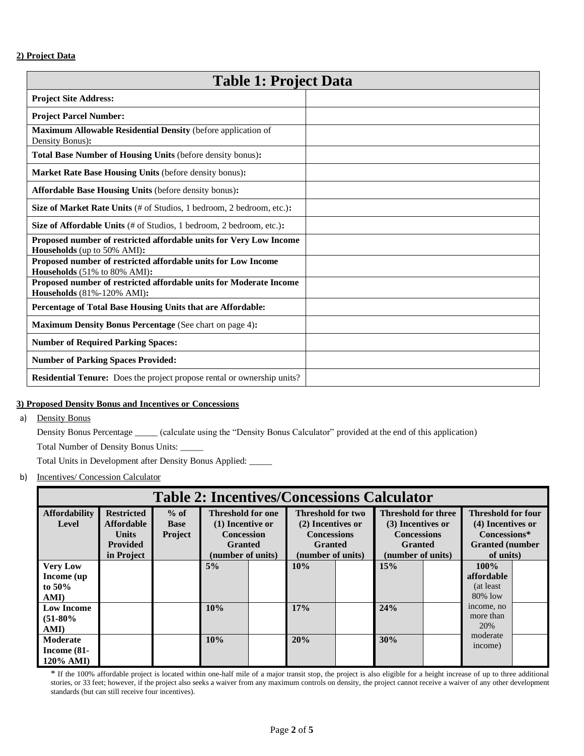| <b>Table 1: Project Data</b>                                                                            |  |  |  |  |
|---------------------------------------------------------------------------------------------------------|--|--|--|--|
| <b>Project Site Address:</b>                                                                            |  |  |  |  |
| <b>Project Parcel Number:</b>                                                                           |  |  |  |  |
| Maximum Allowable Residential Density (before application of<br>Density Bonus):                         |  |  |  |  |
| Total Base Number of Housing Units (before density bonus):                                              |  |  |  |  |
| Market Rate Base Housing Units (before density bonus):                                                  |  |  |  |  |
| Affordable Base Housing Units (before density bonus):                                                   |  |  |  |  |
| Size of Market Rate Units (# of Studios, 1 bedroom, 2 bedroom, etc.):                                   |  |  |  |  |
| Size of Affordable Units (# of Studios, 1 bedroom, 2 bedroom, etc.):                                    |  |  |  |  |
| Proposed number of restricted affordable units for Very Low Income<br>Households (up to 50% AMI):       |  |  |  |  |
| Proposed number of restricted affordable units for Low Income<br>Households (51% to 80% AMI):           |  |  |  |  |
| Proposed number of restricted affordable units for Moderate Income<br><b>Households</b> (81%-120% AMI): |  |  |  |  |
| Percentage of Total Base Housing Units that are Affordable:                                             |  |  |  |  |
| <b>Maximum Density Bonus Percentage (See chart on page 4):</b>                                          |  |  |  |  |
| <b>Number of Required Parking Spaces:</b>                                                               |  |  |  |  |
| <b>Number of Parking Spaces Provided:</b>                                                               |  |  |  |  |
| <b>Residential Tenure:</b> Does the project propose rental or ownership units?                          |  |  |  |  |

#### **3) Proposed Density Bonus and Incentives or Concessions**

a) Density Bonus

Density Bonus Percentage \_\_\_\_\_ (calculate using the "Density Bonus Calculator" provided at the end of this application)

Total Number of Density Bonus Units: \_\_\_\_\_

Total Units in Development after Density Bonus Applied: \_\_\_\_\_

b) Incentives/ Concession Calculator

| <b>Table 2: Incentives/Concessions Calculator</b> |                   |                |                          |  |                          |  |                            |  |                           |  |
|---------------------------------------------------|-------------------|----------------|--------------------------|--|--------------------------|--|----------------------------|--|---------------------------|--|
| <b>Affordability</b>                              | <b>Restricted</b> | $%$ of         | <b>Threshold for one</b> |  | <b>Threshold for two</b> |  | <b>Threshold for three</b> |  | <b>Threshold for four</b> |  |
| Level                                             | <b>Affordable</b> | <b>Base</b>    | (1) Incentive or         |  | (2) Incentives or        |  | (3) Incentives or          |  | (4) Incentives or         |  |
|                                                   | <b>Units</b>      | <b>Project</b> | <b>Concession</b>        |  | <b>Concessions</b>       |  | <b>Concessions</b>         |  | Concessions*              |  |
|                                                   | <b>Provided</b>   |                | <b>Granted</b>           |  | <b>Granted</b>           |  | <b>Granted</b>             |  | <b>Granted</b> (number    |  |
|                                                   | in Project        |                | (number of units)        |  | (number of units)        |  | (number of units)          |  | of units)                 |  |
| <b>Very Low</b>                                   |                   |                | $5\%$                    |  | 10%                      |  | 15%                        |  | $100\%$                   |  |
| Income (up)                                       |                   |                |                          |  |                          |  |                            |  | affordable                |  |
| to $50\%$                                         |                   |                |                          |  |                          |  |                            |  | (at least)                |  |
| AMI)                                              |                   |                |                          |  |                          |  |                            |  | $80\%$ low                |  |
| <b>Low Income</b>                                 |                   |                | 10%                      |  | 17%                      |  | 24%                        |  | income, no                |  |
| $(51-80\%$                                        |                   |                |                          |  |                          |  |                            |  | more than                 |  |
| AMI)                                              |                   |                |                          |  |                          |  |                            |  | 20%                       |  |
| Moderate                                          |                   |                | 10%                      |  | 20%                      |  | 30%                        |  | moderate                  |  |
| Income $(81-$                                     |                   |                |                          |  |                          |  |                            |  | income)                   |  |
| $120\%$ AMI)                                      |                   |                |                          |  |                          |  |                            |  |                           |  |

\* If the 100% affordable project is located within one-half mile of a major transit stop, the project is also eligible for a height increase of up to three additional stories, or 33 feet; however, if the project also seeks a waiver from any maximum controls on density, the project cannot receive a waiver of any other development standards (but can still receive four incentives).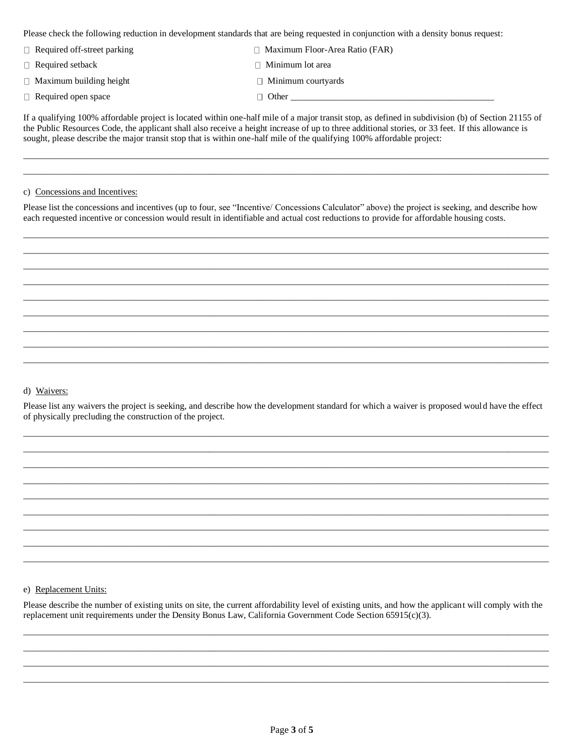Please check the following reduction in development standards that are being requested in conjunction with a density bonus request:

| $\Box$ Required off-street parking | $\Box$ Maximum Floor-Area Ratio (FAR) |
|------------------------------------|---------------------------------------|
| $\Box$ Required setback            | $\Box$ Minimum lot area               |
| $\Box$ Maximum building height     | $\Box$ Minimum courtyards             |
| $\Box$ Required open space         | $\Box$ Other                          |

If a qualifying 100% affordable project is located within one-half mile of a major transit stop, as defined in subdivision (b) of Section 21155 of the Public Resources Code, the applicant shall also receive a height increase of up to three additional stories, or 33 feet. If this allowance is sought, please describe the major transit stop that is within one-half mile of the qualifying 100% affordable project:

\_\_\_\_\_\_\_\_\_\_\_\_\_\_\_\_\_\_\_\_\_\_\_\_\_\_\_\_\_\_\_\_\_\_\_\_\_\_\_\_\_\_\_\_\_\_\_\_\_\_\_\_\_\_\_\_\_\_\_\_\_\_\_\_\_\_\_\_\_\_\_\_\_\_\_\_\_\_\_\_\_\_\_\_\_\_\_\_\_\_\_\_\_\_\_\_\_\_\_\_\_\_\_\_\_\_\_\_\_\_\_\_\_\_\_\_ \_\_\_\_\_\_\_\_\_\_\_\_\_\_\_\_\_\_\_\_\_\_\_\_\_\_\_\_\_\_\_\_\_\_\_\_\_\_\_\_\_\_\_\_\_\_\_\_\_\_\_\_\_\_\_\_\_\_\_\_\_\_\_\_\_\_\_\_\_\_\_\_\_\_\_\_\_\_\_\_\_\_\_\_\_\_\_\_\_\_\_\_\_\_\_\_\_\_\_\_\_\_\_\_\_\_\_\_\_\_\_\_\_\_\_\_

#### c) Concessions and Incentives:

Please list the concessions and incentives (up to four, see "Incentive/ Concessions Calculator" above) the project is seeking, and describe how each requested incentive or concession would result in identifiable and actual cost reductions to provide for affordable housing costs.

\_\_\_\_\_\_\_\_\_\_\_\_\_\_\_\_\_\_\_\_\_\_\_\_\_\_\_\_\_\_\_\_\_\_\_\_\_\_\_\_\_\_\_\_\_\_\_\_\_\_\_\_\_\_\_\_\_\_\_\_\_\_\_\_\_\_\_\_\_\_\_\_\_\_\_\_\_\_\_\_\_\_\_\_\_\_\_\_\_\_\_\_\_\_\_\_\_\_\_\_\_\_\_\_\_\_\_\_\_\_\_\_\_\_\_\_ \_\_\_\_\_\_\_\_\_\_\_\_\_\_\_\_\_\_\_\_\_\_\_\_\_\_\_\_\_\_\_\_\_\_\_\_\_\_\_\_\_\_\_\_\_\_\_\_\_\_\_\_\_\_\_\_\_\_\_\_\_\_\_\_\_\_\_\_\_\_\_\_\_\_\_\_\_\_\_\_\_\_\_\_\_\_\_\_\_\_\_\_\_\_\_\_\_\_\_\_\_\_\_\_\_\_\_\_\_\_\_\_\_\_\_\_ \_\_\_\_\_\_\_\_\_\_\_\_\_\_\_\_\_\_\_\_\_\_\_\_\_\_\_\_\_\_\_\_\_\_\_\_\_\_\_\_\_\_\_\_\_\_\_\_\_\_\_\_\_\_\_\_\_\_\_\_\_\_\_\_\_\_\_\_\_\_\_\_\_\_\_\_\_\_\_\_\_\_\_\_\_\_\_\_\_\_\_\_\_\_\_\_\_\_\_\_\_\_\_\_\_\_\_\_\_\_\_\_\_\_\_\_ \_\_\_\_\_\_\_\_\_\_\_\_\_\_\_\_\_\_\_\_\_\_\_\_\_\_\_\_\_\_\_\_\_\_\_\_\_\_\_\_\_\_\_\_\_\_\_\_\_\_\_\_\_\_\_\_\_\_\_\_\_\_\_\_\_\_\_\_\_\_\_\_\_\_\_\_\_\_\_\_\_\_\_\_\_\_\_\_\_\_\_\_\_\_\_\_\_\_\_\_\_\_\_\_\_\_\_\_\_\_\_\_\_\_\_\_ \_\_\_\_\_\_\_\_\_\_\_\_\_\_\_\_\_\_\_\_\_\_\_\_\_\_\_\_\_\_\_\_\_\_\_\_\_\_\_\_\_\_\_\_\_\_\_\_\_\_\_\_\_\_\_\_\_\_\_\_\_\_\_\_\_\_\_\_\_\_\_\_\_\_\_\_\_\_\_\_\_\_\_\_\_\_\_\_\_\_\_\_\_\_\_\_\_\_\_\_\_\_\_\_\_\_\_\_\_\_\_\_\_\_\_\_ \_\_\_\_\_\_\_\_\_\_\_\_\_\_\_\_\_\_\_\_\_\_\_\_\_\_\_\_\_\_\_\_\_\_\_\_\_\_\_\_\_\_\_\_\_\_\_\_\_\_\_\_\_\_\_\_\_\_\_\_\_\_\_\_\_\_\_\_\_\_\_\_\_\_\_\_\_\_\_\_\_\_\_\_\_\_\_\_\_\_\_\_\_\_\_\_\_\_\_\_\_\_\_\_\_\_\_\_\_\_\_\_\_\_\_\_ \_\_\_\_\_\_\_\_\_\_\_\_\_\_\_\_\_\_\_\_\_\_\_\_\_\_\_\_\_\_\_\_\_\_\_\_\_\_\_\_\_\_\_\_\_\_\_\_\_\_\_\_\_\_\_\_\_\_\_\_\_\_\_\_\_\_\_\_\_\_\_\_\_\_\_\_\_\_\_\_\_\_\_\_\_\_\_\_\_\_\_\_\_\_\_\_\_\_\_\_\_\_\_\_\_\_\_\_\_\_\_\_\_\_\_\_ \_\_\_\_\_\_\_\_\_\_\_\_\_\_\_\_\_\_\_\_\_\_\_\_\_\_\_\_\_\_\_\_\_\_\_\_\_\_\_\_\_\_\_\_\_\_\_\_\_\_\_\_\_\_\_\_\_\_\_\_\_\_\_\_\_\_\_\_\_\_\_\_\_\_\_\_\_\_\_\_\_\_\_\_\_\_\_\_\_\_\_\_\_\_\_\_\_\_\_\_\_\_\_\_\_\_\_\_\_\_\_\_\_\_\_\_ \_\_\_\_\_\_\_\_\_\_\_\_\_\_\_\_\_\_\_\_\_\_\_\_\_\_\_\_\_\_\_\_\_\_\_\_\_\_\_\_\_\_\_\_\_\_\_\_\_\_\_\_\_\_\_\_\_\_\_\_\_\_\_\_\_\_\_\_\_\_\_\_\_\_\_\_\_\_\_\_\_\_\_\_\_\_\_\_\_\_\_\_\_\_\_\_\_\_\_\_\_\_\_\_\_\_\_\_\_\_\_\_\_\_\_\_

### d) Waivers:

Please list any waivers the project is seeking, and describe how the development standard for which a waiver is proposed would have the effect of physically precluding the construction of the project.

\_\_\_\_\_\_\_\_\_\_\_\_\_\_\_\_\_\_\_\_\_\_\_\_\_\_\_\_\_\_\_\_\_\_\_\_\_\_\_\_\_\_\_\_\_\_\_\_\_\_\_\_\_\_\_\_\_\_\_\_\_\_\_\_\_\_\_\_\_\_\_\_\_\_\_\_\_\_\_\_\_\_\_\_\_\_\_\_\_\_\_\_\_\_\_\_\_\_\_\_\_\_\_\_\_\_\_\_\_\_\_\_\_\_\_\_ \_\_\_\_\_\_\_\_\_\_\_\_\_\_\_\_\_\_\_\_\_\_\_\_\_\_\_\_\_\_\_\_\_\_\_\_\_\_\_\_\_\_\_\_\_\_\_\_\_\_\_\_\_\_\_\_\_\_\_\_\_\_\_\_\_\_\_\_\_\_\_\_\_\_\_\_\_\_\_\_\_\_\_\_\_\_\_\_\_\_\_\_\_\_\_\_\_\_\_\_\_\_\_\_\_\_\_\_\_\_\_\_\_\_\_\_ \_\_\_\_\_\_\_\_\_\_\_\_\_\_\_\_\_\_\_\_\_\_\_\_\_\_\_\_\_\_\_\_\_\_\_\_\_\_\_\_\_\_\_\_\_\_\_\_\_\_\_\_\_\_\_\_\_\_\_\_\_\_\_\_\_\_\_\_\_\_\_\_\_\_\_\_\_\_\_\_\_\_\_\_\_\_\_\_\_\_\_\_\_\_\_\_\_\_\_\_\_\_\_\_\_\_\_\_\_\_\_\_\_\_\_\_ \_\_\_\_\_\_\_\_\_\_\_\_\_\_\_\_\_\_\_\_\_\_\_\_\_\_\_\_\_\_\_\_\_\_\_\_\_\_\_\_\_\_\_\_\_\_\_\_\_\_\_\_\_\_\_\_\_\_\_\_\_\_\_\_\_\_\_\_\_\_\_\_\_\_\_\_\_\_\_\_\_\_\_\_\_\_\_\_\_\_\_\_\_\_\_\_\_\_\_\_\_\_\_\_\_\_\_\_\_\_\_\_\_\_\_\_ \_\_\_\_\_\_\_\_\_\_\_\_\_\_\_\_\_\_\_\_\_\_\_\_\_\_\_\_\_\_\_\_\_\_\_\_\_\_\_\_\_\_\_\_\_\_\_\_\_\_\_\_\_\_\_\_\_\_\_\_\_\_\_\_\_\_\_\_\_\_\_\_\_\_\_\_\_\_\_\_\_\_\_\_\_\_\_\_\_\_\_\_\_\_\_\_\_\_\_\_\_\_\_\_\_\_\_\_\_\_\_\_\_\_\_\_ \_\_\_\_\_\_\_\_\_\_\_\_\_\_\_\_\_\_\_\_\_\_\_\_\_\_\_\_\_\_\_\_\_\_\_\_\_\_\_\_\_\_\_\_\_\_\_\_\_\_\_\_\_\_\_\_\_\_\_\_\_\_\_\_\_\_\_\_\_\_\_\_\_\_\_\_\_\_\_\_\_\_\_\_\_\_\_\_\_\_\_\_\_\_\_\_\_\_\_\_\_\_\_\_\_\_\_\_\_\_\_\_\_\_\_\_ \_\_\_\_\_\_\_\_\_\_\_\_\_\_\_\_\_\_\_\_\_\_\_\_\_\_\_\_\_\_\_\_\_\_\_\_\_\_\_\_\_\_\_\_\_\_\_\_\_\_\_\_\_\_\_\_\_\_\_\_\_\_\_\_\_\_\_\_\_\_\_\_\_\_\_\_\_\_\_\_\_\_\_\_\_\_\_\_\_\_\_\_\_\_\_\_\_\_\_\_\_\_\_\_\_\_\_\_\_\_\_\_\_\_\_\_ \_\_\_\_\_\_\_\_\_\_\_\_\_\_\_\_\_\_\_\_\_\_\_\_\_\_\_\_\_\_\_\_\_\_\_\_\_\_\_\_\_\_\_\_\_\_\_\_\_\_\_\_\_\_\_\_\_\_\_\_\_\_\_\_\_\_\_\_\_\_\_\_\_\_\_\_\_\_\_\_\_\_\_\_\_\_\_\_\_\_\_\_\_\_\_\_\_\_\_\_\_\_\_\_\_\_\_\_\_\_\_\_\_\_\_\_ \_\_\_\_\_\_\_\_\_\_\_\_\_\_\_\_\_\_\_\_\_\_\_\_\_\_\_\_\_\_\_\_\_\_\_\_\_\_\_\_\_\_\_\_\_\_\_\_\_\_\_\_\_\_\_\_\_\_\_\_\_\_\_\_\_\_\_\_\_\_\_\_\_\_\_\_\_\_\_\_\_\_\_\_\_\_\_\_\_\_\_\_\_\_\_\_\_\_\_\_\_\_\_\_\_\_\_\_\_\_\_\_\_\_\_\_

e) Replacement Units:

Please describe the number of existing units on site, the current affordability level of existing units, and how the applicant will comply with the replacement unit requirements under the Density Bonus Law, California Government Code Section 65915(c)(3).

\_\_\_\_\_\_\_\_\_\_\_\_\_\_\_\_\_\_\_\_\_\_\_\_\_\_\_\_\_\_\_\_\_\_\_\_\_\_\_\_\_\_\_\_\_\_\_\_\_\_\_\_\_\_\_\_\_\_\_\_\_\_\_\_\_\_\_\_\_\_\_\_\_\_\_\_\_\_\_\_\_\_\_\_\_\_\_\_\_\_\_\_\_\_\_\_\_\_\_\_\_\_\_\_\_\_\_\_\_\_\_\_\_\_\_\_ \_\_\_\_\_\_\_\_\_\_\_\_\_\_\_\_\_\_\_\_\_\_\_\_\_\_\_\_\_\_\_\_\_\_\_\_\_\_\_\_\_\_\_\_\_\_\_\_\_\_\_\_\_\_\_\_\_\_\_\_\_\_\_\_\_\_\_\_\_\_\_\_\_\_\_\_\_\_\_\_\_\_\_\_\_\_\_\_\_\_\_\_\_\_\_\_\_\_\_\_\_\_\_\_\_\_\_\_\_\_\_\_\_\_\_\_ \_\_\_\_\_\_\_\_\_\_\_\_\_\_\_\_\_\_\_\_\_\_\_\_\_\_\_\_\_\_\_\_\_\_\_\_\_\_\_\_\_\_\_\_\_\_\_\_\_\_\_\_\_\_\_\_\_\_\_\_\_\_\_\_\_\_\_\_\_\_\_\_\_\_\_\_\_\_\_\_\_\_\_\_\_\_\_\_\_\_\_\_\_\_\_\_\_\_\_\_\_\_\_\_\_\_\_\_\_\_\_\_\_\_\_\_ \_\_\_\_\_\_\_\_\_\_\_\_\_\_\_\_\_\_\_\_\_\_\_\_\_\_\_\_\_\_\_\_\_\_\_\_\_\_\_\_\_\_\_\_\_\_\_\_\_\_\_\_\_\_\_\_\_\_\_\_\_\_\_\_\_\_\_\_\_\_\_\_\_\_\_\_\_\_\_\_\_\_\_\_\_\_\_\_\_\_\_\_\_\_\_\_\_\_\_\_\_\_\_\_\_\_\_\_\_\_\_\_\_\_\_\_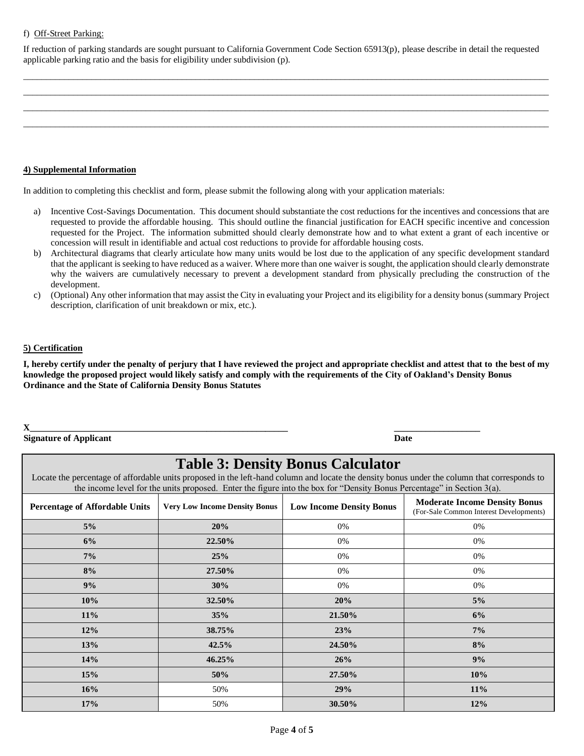#### f) Off-Street Parking:

If reduction of parking standards are sought pursuant to California Government Code Section 65913(p), please describe in detail the requested applicable parking ratio and the basis for eligibility under subdivision (p).

\_\_\_\_\_\_\_\_\_\_\_\_\_\_\_\_\_\_\_\_\_\_\_\_\_\_\_\_\_\_\_\_\_\_\_\_\_\_\_\_\_\_\_\_\_\_\_\_\_\_\_\_\_\_\_\_\_\_\_\_\_\_\_\_\_\_\_\_\_\_\_\_\_\_\_\_\_\_\_\_\_\_\_\_\_\_\_\_\_\_\_\_\_\_\_\_\_\_\_\_\_\_\_\_\_\_\_\_\_\_\_\_\_\_\_\_ \_\_\_\_\_\_\_\_\_\_\_\_\_\_\_\_\_\_\_\_\_\_\_\_\_\_\_\_\_\_\_\_\_\_\_\_\_\_\_\_\_\_\_\_\_\_\_\_\_\_\_\_\_\_\_\_\_\_\_\_\_\_\_\_\_\_\_\_\_\_\_\_\_\_\_\_\_\_\_\_\_\_\_\_\_\_\_\_\_\_\_\_\_\_\_\_\_\_\_\_\_\_\_\_\_\_\_\_\_\_\_\_\_\_\_\_ \_\_\_\_\_\_\_\_\_\_\_\_\_\_\_\_\_\_\_\_\_\_\_\_\_\_\_\_\_\_\_\_\_\_\_\_\_\_\_\_\_\_\_\_\_\_\_\_\_\_\_\_\_\_\_\_\_\_\_\_\_\_\_\_\_\_\_\_\_\_\_\_\_\_\_\_\_\_\_\_\_\_\_\_\_\_\_\_\_\_\_\_\_\_\_\_\_\_\_\_\_\_\_\_\_\_\_\_\_\_\_\_\_\_\_\_ \_\_\_\_\_\_\_\_\_\_\_\_\_\_\_\_\_\_\_\_\_\_\_\_\_\_\_\_\_\_\_\_\_\_\_\_\_\_\_\_\_\_\_\_\_\_\_\_\_\_\_\_\_\_\_\_\_\_\_\_\_\_\_\_\_\_\_\_\_\_\_\_\_\_\_\_\_\_\_\_\_\_\_\_\_\_\_\_\_\_\_\_\_\_\_\_\_\_\_\_\_\_\_\_\_\_\_\_\_\_\_\_\_\_\_\_

#### **4) Supplemental Information**

In addition to completing this checklist and form, please submit the following along with your application materials:

- a) Incentive Cost-Savings Documentation. This document should substantiate the cost reductions for the incentives and concessions that are requested to provide the affordable housing. This should outline the financial justification for EACH specific incentive and concession requested for the Project. The information submitted should clearly demonstrate how and to what extent a grant of each incentive or concession will result in identifiable and actual cost reductions to provide for affordable housing costs.
- b) Architectural diagrams that clearly articulate how many units would be lost due to the application of any specific development standard that the applicant is seeking to have reduced as a waiver. Where more than one waiver is sought, the application should clearly demonstrate why the waivers are cumulatively necessary to prevent a development standard from physically precluding the construction of the development.
- c) (Optional) Any other information that may assist the City in evaluating your Project and its eligibility for a density bonus (summary Project description, clarification of unit breakdown or mix, etc.).

#### **5) Certification**

**I, hereby certify under the penalty of perjury that I have reviewed the project and appropriate checklist and attest that to the best of my knowledge the proposed project would likely satisfy and comply with the requirements of the City of Oakland's Density Bonus Ordinance and the State of California Density Bonus Statutes**

#### **X\_\_\_\_\_\_\_\_\_\_\_\_\_\_\_\_\_\_\_\_\_\_\_\_\_\_\_\_\_\_\_\_\_\_\_\_\_\_\_\_\_\_\_\_\_\_\_\_\_\_\_\_\_\_\_\_\_ \_\_\_\_\_\_\_\_\_\_\_\_\_\_\_\_\_\_\_**

**Signature of Applicant Date** 

## **Table 3: Density Bonus Calculator**

Locate the percentage of affordable units proposed in the left-hand column and locate the density bonus under the column that corresponds to the income level for the units proposed. Enter the figure into the box for "Density Bonus Percentage" in Section 3(a).

| <b>Percentage of Affordable Units</b> | <b>Very Low Income Density Bonus</b> | <b>Low Income Density Bonus</b> | <b>Moderate Income Density Bonus</b><br>(For-Sale Common Interest Developments) |
|---------------------------------------|--------------------------------------|---------------------------------|---------------------------------------------------------------------------------|
| $5\%$                                 | 20%                                  | 0%                              | 0%                                                                              |
| 6%                                    | 22.50%                               | $0\%$                           | 0%                                                                              |
| 7%                                    | 25%                                  | 0%                              | 0%                                                                              |
| 8%                                    | 27.50%                               | 0%                              | 0%                                                                              |
| 9%                                    | 30%                                  | 0%                              | 0%                                                                              |
| 10%                                   | 32.50%                               | 20%                             | $5\%$                                                                           |
| 11%                                   | 35%                                  | 21.50%                          | 6%                                                                              |
| 12%                                   | 38.75%                               | 23%                             | 7%                                                                              |
| 13%                                   | 42.5%                                | 24.50%                          | 8%                                                                              |
| 14%                                   | 46.25%                               | 26%                             | 9%                                                                              |
| 15%                                   | 50%                                  | 27.50%                          | 10%                                                                             |
| 16%                                   | 50%                                  | 29%                             | 11%                                                                             |
| 17%                                   | 50%                                  | 30.50%                          | 12%                                                                             |